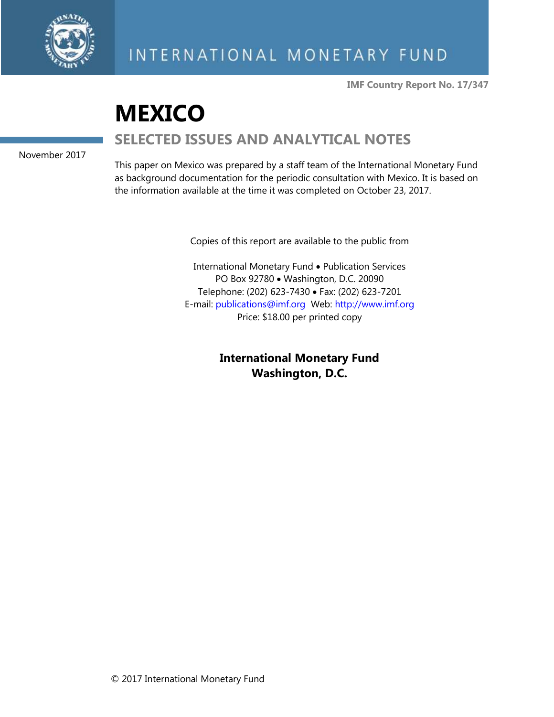

**IMF Country Report No. 17/347**

# **MEXICO SELECTED ISSUES AND ANALYTICAL NOTES**

November 2017

This paper on Mexico was prepared by a staff team of the International Monetary Fund as background documentation for the periodic consultation with Mexico. It is based on the information available at the time it was completed on October 23, 2017.

Copies of this report are available to the public from

International Monetary Fund • Publication Services PO Box 92780 • Washington, D.C. 20090 Telephone: (202) 623-7430 • Fax: (202) 623-7201 E-mail: [publications@imf.org](mailto:publications@imf.org) Web: [http://www.imf.org](http://www.imf.org/) Price: \$18.00 per printed copy

> **International Monetary Fund Washington, D.C.**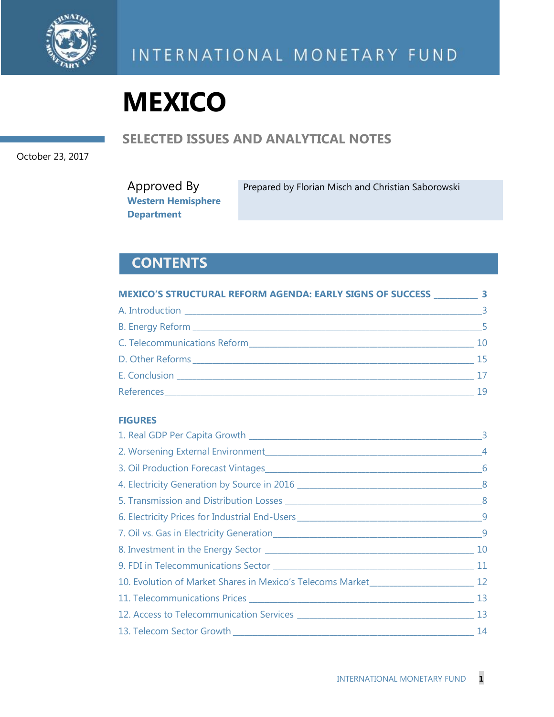

# **MEXICO**

### **SELECTED ISSUES AND ANALYTICAL NOTES**

October 23, 2017

Approved By **Western Hemisphere Department** Prepared by Florian Misch and Christian Saborowski

### **CONTENTS**

| MEXICO'S STRUCTURAL REFORM AGENDA: EARLY SIGNS OF SUCCESS 3                                                                                                                                                                    |                         |
|--------------------------------------------------------------------------------------------------------------------------------------------------------------------------------------------------------------------------------|-------------------------|
|                                                                                                                                                                                                                                | $\overline{\mathbf{3}}$ |
|                                                                                                                                                                                                                                | $\sim$ 5                |
| C. Telecommunications Reform and the control of the control of the control of the control of the control of the control of the control of the control of the control of the control of the control of the control of the contr | 10                      |
|                                                                                                                                                                                                                                | 15                      |
|                                                                                                                                                                                                                                | 17                      |
|                                                                                                                                                                                                                                | 19                      |

### **FIGURES**

| 12 12 12 12 12 12 12 13 13 14 15 16 17 17: The Solution of Market |    |
|-------------------------------------------------------------------|----|
|                                                                   |    |
|                                                                   |    |
|                                                                   | 14 |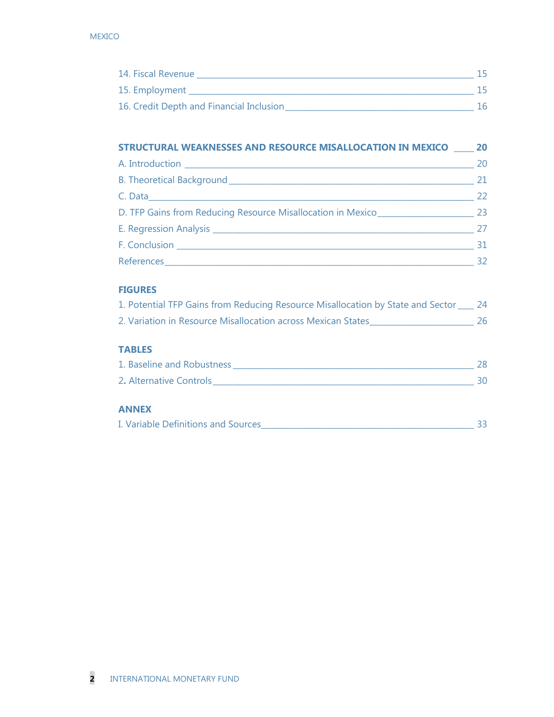| 14. Fiscal Revenue                       |  |
|------------------------------------------|--|
| 15. Employment                           |  |
| 16. Credit Depth and Financial Inclusion |  |

| STRUCTURAL WEAKNESSES AND RESOURCE MISALLOCATION IN MEXICO 20 |    |
|---------------------------------------------------------------|----|
|                                                               | 20 |
|                                                               | 21 |
|                                                               | 22 |
| D. TFP Gains from Reducing Resource Misallocation in Mexico   | 23 |
|                                                               | 27 |
|                                                               | 31 |
|                                                               | 32 |

### **FIGURES**

| 1. Potential TFP Gains from Reducing Resource Misallocation by State and Sector |  |
|---------------------------------------------------------------------------------|--|
| 2. Variation in Resource Misallocation across Mexican States                    |  |

### **TABLES**

| 1. Baseline and Robustness |  |
|----------------------------|--|
| 2. Alternative Controls    |  |

### **ANNEX**

| I. Variable Definitions and Sources |
|-------------------------------------|
|-------------------------------------|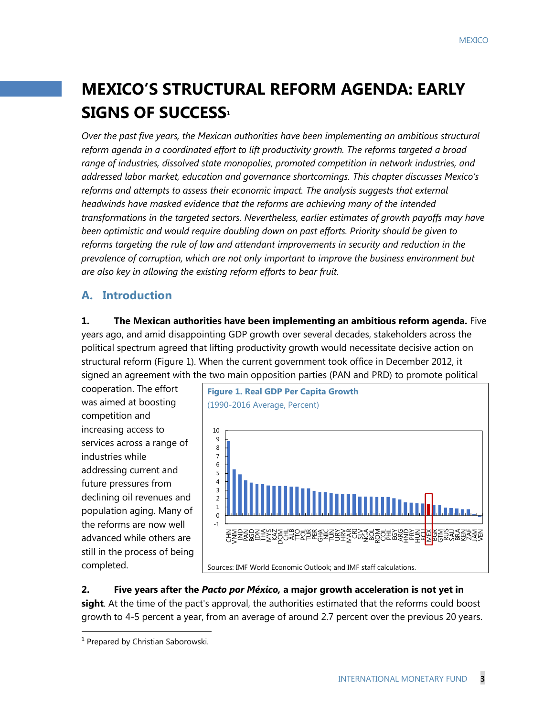# **MEXICO'S STRUCTURAL REFORM AGENDA: EARLY SIGNS OF SUCCESS<sup>1</sup>**

*Over the past five years, the Mexican authorities have been implementing an ambitious structural reform agenda in a coordinated effort to lift productivity growth. The reforms targeted a broad range of industries, dissolved state monopolies, promoted competition in network industries, and addressed labor market, education and governance shortcomings. This chapter discusses Mexico's reforms and attempts to assess their economic impact. The analysis suggests that external headwinds have masked evidence that the reforms are achieving many of the intended transformations in the targeted sectors. Nevertheless, earlier estimates of growth payoffs may have been optimistic and would require doubling down on past efforts. Priority should be given to reforms targeting the rule of law and attendant improvements in security and reduction in the prevalence of corruption, which are not only important to improve the business environment but are also key in allowing the existing reform efforts to bear fruit.* 

### **A. Introduction**

### **1. The Mexican authorities have been implementing an ambitious reform agenda.** Five years ago, and amid disappointing GDP growth over several decades, stakeholders across the political spectrum agreed that lifting productivity growth would necessitate decisive action on structural reform (Figure 1). When the current government took office in December 2012, it signed an agreement with the two main opposition parties (PAN and PRD) to promote political

cooperation. The effort was aimed at boosting competition and increasing access to services across a range of industries while addressing current and future pressures from declining oil revenues and population aging. Many of the reforms are now well advanced while others are still in the process of being completed.



**2. Five years after the** *Pacto por México,* **a major growth acceleration is not yet in sight**. At the time of the pact's approval, the authorities estimated that the reforms could boost growth to 4-5 percent a year, from an average of around 2.7 percent over the previous 20 years.

 $\overline{a}$ 

<sup>&</sup>lt;sup>1</sup> Prepared by Christian Saborowski.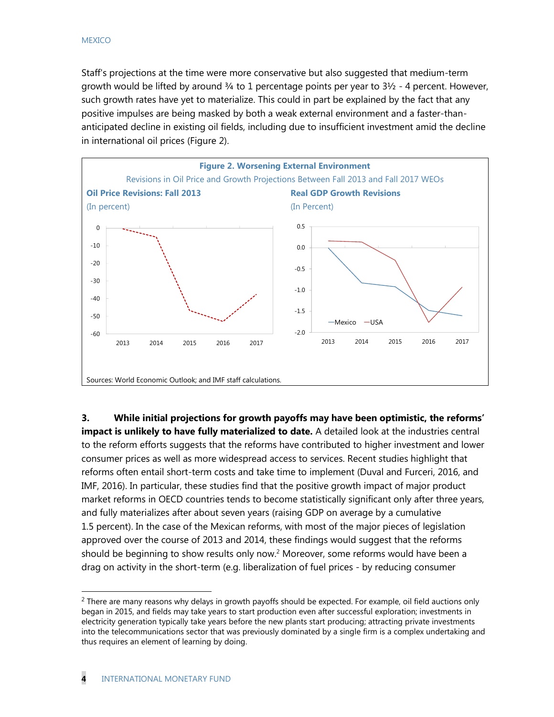Staff's projections at the time were more conservative but also suggested that medium-term growth would be lifted by around  $\frac{3}{4}$  to 1 percentage points per year to  $\frac{31}{2}$  - 4 percent. However, such growth rates have yet to materialize. This could in part be explained by the fact that any positive impulses are being masked by both a weak external environment and a faster-thananticipated decline in existing oil fields, including due to insufficient investment amid the decline in international oil prices (Figure 2).



**3. While initial projections for growth payoffs may have been optimistic, the reforms' impact is unlikely to have fully materialized to date.** A detailed look at the industries central to the reform efforts suggests that the reforms have contributed to higher investment and lower consumer prices as well as more widespread access to services. Recent studies highlight that reforms often entail short-term costs and take time to implement (Duval and Furceri, 2016, and IMF, 2016). In particular, these studies find that the positive growth impact of major product market reforms in OECD countries tends to become statistically significant only after three years, and fully materializes after about seven years (raising GDP on average by a cumulative 1.5 percent). In the case of the Mexican reforms, with most of the major pieces of legislation approved over the course of 2013 and 2014, these findings would suggest that the reforms should be beginning to show results only now.<sup>2</sup> Moreover, some reforms would have been a drag on activity in the short-term (e.g. liberalization of fuel prices - by reducing consumer

 $\overline{a}$ 

<sup>&</sup>lt;sup>2</sup> There are many reasons why delays in growth payoffs should be expected. For example, oil field auctions only began in 2015, and fields may take years to start production even after successful exploration; investments in electricity generation typically take years before the new plants start producing; attracting private investments into the telecommunications sector that was previously dominated by a single firm is a complex undertaking and thus requires an element of learning by doing.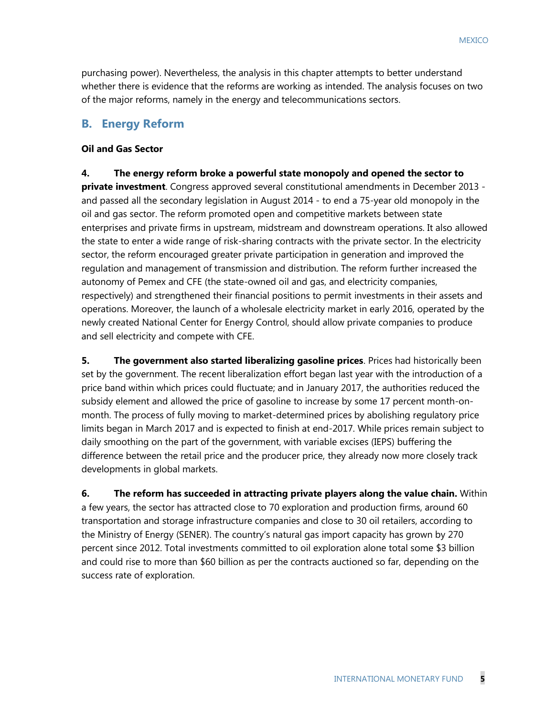purchasing power). Nevertheless, the analysis in this chapter attempts to better understand whether there is evidence that the reforms are working as intended. The analysis focuses on two of the major reforms, namely in the energy and telecommunications sectors.

### **B. Energy Reform**

#### **Oil and Gas Sector**

**4. The energy reform broke a powerful state monopoly and opened the sector to private investment**. Congress approved several constitutional amendments in December 2013 and passed all the secondary legislation in August 2014 - to end a 75-year old monopoly in the oil and gas sector. The reform promoted open and competitive markets between state enterprises and private firms in upstream, midstream and downstream operations. It also allowed the state to enter a wide range of risk-sharing contracts with the private sector. In the electricity sector, the reform encouraged greater private participation in generation and improved the regulation and management of transmission and distribution. The reform further increased the autonomy of Pemex and CFE (the state-owned oil and gas, and electricity companies, respectively) and strengthened their financial positions to permit investments in their assets and operations. Moreover, the launch of a wholesale electricity market in early 2016, operated by the newly created National Center for Energy Control, should allow private companies to produce and sell electricity and compete with CFE.

**5. The government also started liberalizing gasoline prices**. Prices had historically been set by the government. The recent liberalization effort began last year with the introduction of a price band within which prices could fluctuate; and in January 2017, the authorities reduced the subsidy element and allowed the price of gasoline to increase by some 17 percent month-onmonth. The process of fully moving to market-determined prices by abolishing regulatory price limits began in March 2017 and is expected to finish at end-2017. While prices remain subject to daily smoothing on the part of the government, with variable excises (IEPS) buffering the difference between the retail price and the producer price, they already now more closely track developments in global markets.

**6. The reform has succeeded in attracting private players along the value chain.** Within a few years, the sector has attracted close to 70 exploration and production firms, around 60 transportation and storage infrastructure companies and close to 30 oil retailers, according to the Ministry of Energy (SENER). The country's natural gas import capacity has grown by 270 percent since 2012. Total investments committed to oil exploration alone total some \$3 billion and could rise to more than \$60 billion as per the contracts auctioned so far, depending on the success rate of exploration.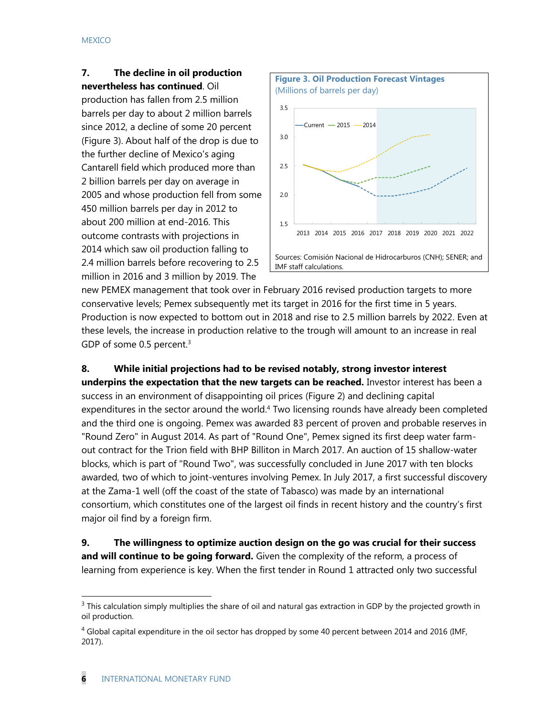### **7. The decline in oil production nevertheless has continued**. Oil

production has fallen from 2.5 million barrels per day to about 2 million barrels since 2012, a decline of some 20 percent (Figure 3). About half of the drop is due to the further decline of Mexico's aging Cantarell field which produced more than 2 billion barrels per day on average in 2005 and whose production fell from some 450 million barrels per day in 2012 to about 200 million at end-2016. This outcome contrasts with projections in 2014 which saw oil production falling to 2.4 million barrels before recovering to 2.5 million in 2016 and 3 million by 2019. The



new PEMEX management that took over in February 2016 revised production targets to more conservative levels; Pemex subsequently met its target in 2016 for the first time in 5 years. Production is now expected to bottom out in 2018 and rise to 2.5 million barrels by 2022. Even at these levels, the increase in production relative to the trough will amount to an increase in real GDP of some 0.5 percent.<sup>3</sup>

### **8. While initial projections had to be revised notably, strong investor interest**

**underpins the expectation that the new targets can be reached.** Investor interest has been a success in an environment of disappointing oil prices (Figure 2) and declining capital expenditures in the sector around the world.<sup>4</sup> Two licensing rounds have already been completed and the third one is ongoing. Pemex was awarded 83 percent of proven and probable reserves in "Round Zero" in August 2014. As part of "Round One", Pemex signed its first deep water farmout contract for the Trion field with BHP Billiton in March 2017. An auction of 15 shallow-water blocks, which is part of "Round Two", was successfully concluded in June 2017 with ten blocks awarded, two of which to joint-ventures involving Pemex. In July 2017, a first successful discovery at the Zama-1 well (off the coast of the state of Tabasco) was made by an international consortium, which constitutes one of the largest oil finds in recent history and the country's first major oil find by a foreign firm.

**9. The willingness to optimize auction design on the go was crucial for their success and will continue to be going forward.** Given the complexity of the reform, a process of learning from experience is key. When the first tender in Round 1 attracted only two successful

 $\overline{a}$ 

 $3$  This calculation simply multiplies the share of oil and natural gas extraction in GDP by the projected growth in oil production.

 $^4$  Global capital expenditure in the oil sector has dropped by some 40 percent between 2014 and 2016 (IMF, 2017).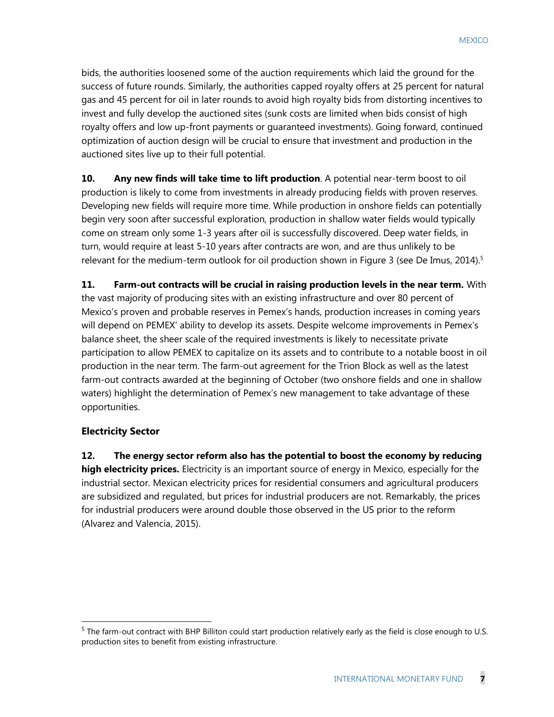bids, the authorities loosened some of the auction requirements which laid the ground for the success of future rounds. Similarly, the authorities capped royalty offers at 25 percent for natural gas and 45 percent for oil in later rounds to avoid high royalty bids from distorting incentives to invest and fully develop the auctioned sites (sunk costs are limited when bids consist of high royalty offers and low up-front payments or guaranteed investments). Going forward, continued optimization of auction design will be crucial to ensure that investment and production in the auctioned sites live up to their full potential.

**10. Any new finds will take time to lift production**. A potential near-term boost to oil production is likely to come from investments in already producing fields with proven reserves. Developing new fields will require more time. While production in onshore fields can potentially begin very soon after successful exploration, production in shallow water fields would typically come on stream only some 1-3 years after oil is successfully discovered. Deep water fields, in turn, would require at least 5-10 years after contracts are won, and are thus unlikely to be relevant for the medium-term outlook for oil production shown in Figure 3 (see De Imus,  $2014$ ).<sup>5</sup>

**11. Farm-out contracts will be crucial in raising production levels in the near term.** With the vast majority of producing sites with an existing infrastructure and over 80 percent of Mexico's proven and probable reserves in Pemex's hands, production increases in coming years will depend on PEMEX' ability to develop its assets. Despite welcome improvements in Pemex's balance sheet, the sheer scale of the required investments is likely to necessitate private participation to allow PEMEX to capitalize on its assets and to contribute to a notable boost in oil production in the near term. The farm-out agreement for the Trion Block as well as the latest farm-out contracts awarded at the beginning of October (two onshore fields and one in shallow waters) highlight the determination of Pemex's new management to take advantage of these opportunities.

### **Electricity Sector**

 $\overline{a}$ 

**12. The energy sector reform also has the potential to boost the economy by reducing high electricity prices.** Electricity is an important source of energy in Mexico, especially for the industrial sector. Mexican electricity prices for residential consumers and agricultural producers are subsidized and regulated, but prices for industrial producers are not. Remarkably, the prices for industrial producers were around double those observed in the US prior to the reform (Alvarez and Valencia, 2015).

 $5$  The farm-out contract with BHP Billiton could start production relatively early as the field is close enough to U.S. production sites to benefit from existing infrastructure.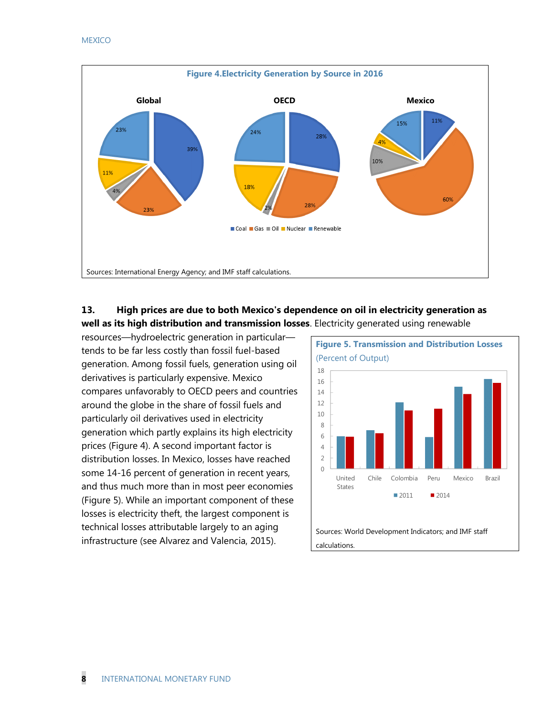

### **13. High prices are due to both Mexico's dependence on oil in electricity generation as well as its high distribution and transmission losses**. Electricity generated using renewable

resources––hydroelectric generation in particular–– tends to be far less costly than fossil fuel-based generation. Among fossil fuels, generation using oil derivatives is particularly expensive. Mexico compares unfavorably to OECD peers and countries around the globe in the share of fossil fuels and particularly oil derivatives used in electricity generation which partly explains its high electricity prices (Figure 4). A second important factor is distribution losses. In Mexico, losses have reached some 14-16 percent of generation in recent years, and thus much more than in most peer economies (Figure 5). While an important component of these losses is electricity theft, the largest component is technical losses attributable largely to an aging infrastructure (see Alvarez and Valencia, 2015).



calculations.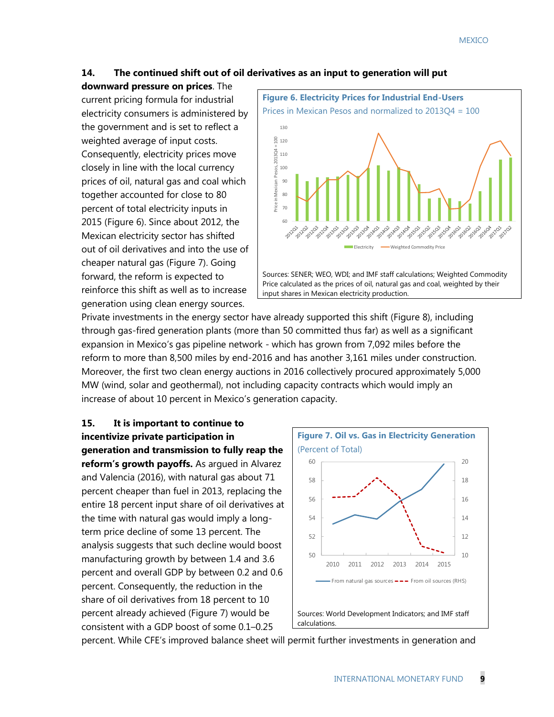### **14. The continued shift out of oil derivatives as an input to generation will put**

**downward pressure on prices**. The current pricing formula for industrial electricity consumers is administered by the government and is set to reflect a weighted average of input costs. Consequently, electricity prices move closely in line with the local currency prices of oil, natural gas and coal which together accounted for close to 80 percent of total electricity inputs in 2015 (Figure 6). Since about 2012, the Mexican electricity sector has shifted out of oil derivatives and into the use of cheaper natural gas (Figure 7). Going forward, the reform is expected to reinforce this shift as well as to increase generation using clean energy sources.



Private investments in the energy sector have already supported this shift (Figure 8), including through gas-fired generation plants (more than 50 committed thus far) as well as a significant expansion in Mexico's gas pipeline network - which has grown from 7,092 miles before the reform to more than 8,500 miles by end-2016 and has another 3,161 miles under construction. Moreover, the first two clean energy auctions in 2016 collectively procured approximately 5,000 MW (wind, solar and geothermal), not including capacity contracts which would imply an increase of about 10 percent in Mexico's generation capacity.

### **15. It is important to continue to incentivize private participation in generation and transmission to fully reap the reform's growth payoffs.** As argued in Alvarez and Valencia (2016), with natural gas about 71 percent cheaper than fuel in 2013, replacing the entire 18 percent input share of oil derivatives at the time with natural gas would imply a longterm price decline of some 13 percent. The analysis suggests that such decline would boost manufacturing growth by between 1.4 and 3.6 percent and overall GDP by between 0.2 and 0.6 percent. Consequently, the reduction in the share of oil derivatives from 18 percent to 10 percent already achieved (Figure 7) would be consistent with a GDP boost of some 0.1–0.25



percent. While CFE's improved balance sheet will permit further investments in generation and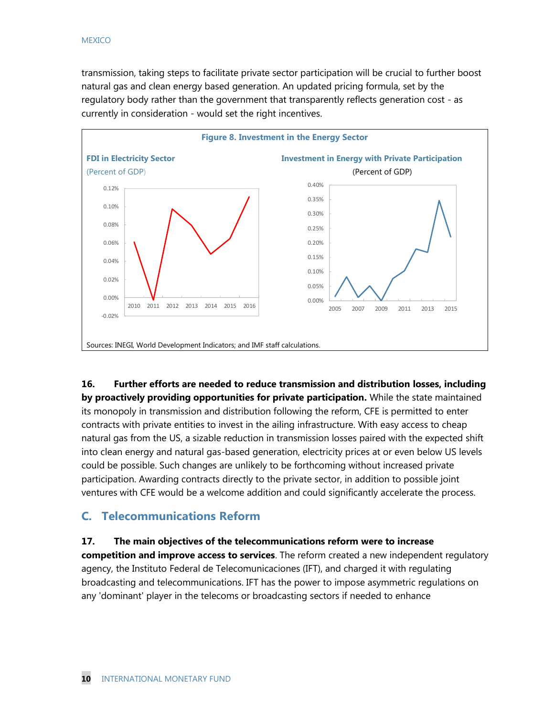transmission, taking steps to facilitate private sector participation will be crucial to further boost natural gas and clean energy based generation. An updated pricing formula, set by the regulatory body rather than the government that transparently reflects generation cost - as currently in consideration - would set the right incentives.



**16. Further efforts are needed to reduce transmission and distribution losses, including by proactively providing opportunities for private participation.** While the state maintained its monopoly in transmission and distribution following the reform, CFE is permitted to enter contracts with private entities to invest in the ailing infrastructure. With easy access to cheap natural gas from the US, a sizable reduction in transmission losses paired with the expected shift into clean energy and natural gas-based generation, electricity prices at or even below US levels could be possible. Such changes are unlikely to be forthcoming without increased private participation. Awarding contracts directly to the private sector, in addition to possible joint ventures with CFE would be a welcome addition and could significantly accelerate the process.

### **C. Telecommunications Reform**

### **17. The main objectives of the telecommunications reform were to increase**

**competition and improve access to services**. The reform created a new independent regulatory agency, the Instituto Federal de Telecomunicaciones (IFT), and charged it with regulating broadcasting and telecommunications. IFT has the power to impose asymmetric regulations on any 'dominant' player in the telecoms or broadcasting sectors if needed to enhance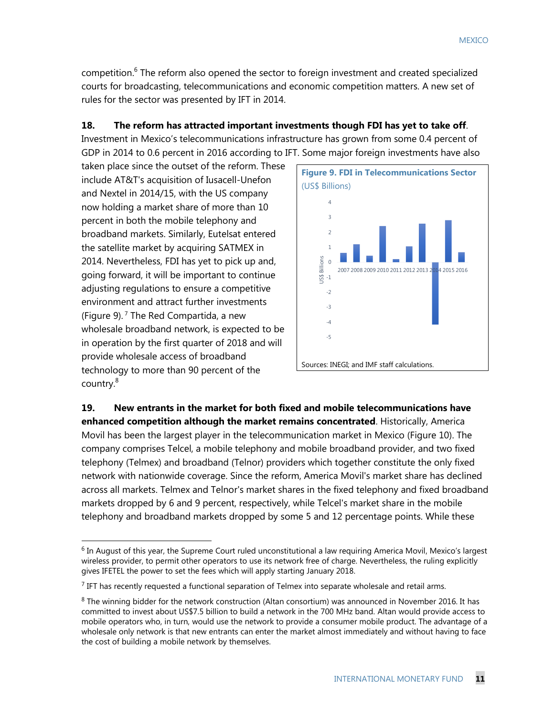competition.<sup>6</sup> The reform also opened the sector to foreign investment and created specialized courts for broadcasting, telecommunications and economic competition matters. A new set of rules for the sector was presented by IFT in 2014.

### **18. The reform has attracted important investments though FDI has yet to take off**.

Investment in Mexico's telecommunications infrastructure has grown from some 0.4 percent of GDP in 2014 to 0.6 percent in 2016 according to IFT. Some major foreign investments have also

taken place since the outset of the reform. These include AT&T's acquisition of Iusacell-Unefon and Nextel in 2014/15, with the US company now holding a market share of more than 10 percent in both the mobile telephony and broadband markets. Similarly, Eutelsat entered the satellite market by acquiring SATMEX in 2014. Nevertheless, FDI has yet to pick up and, going forward, it will be important to continue adjusting regulations to ensure a competitive environment and attract further investments (Figure 9). <sup>7</sup> The Red Compartida, a new wholesale broadband network, is expected to be in operation by the first quarter of 2018 and will provide wholesale access of broadband technology to more than 90 percent of the country.<sup>8</sup>

 $\overline{\phantom{a}}$ 



**19. New entrants in the market for both fixed and mobile telecommunications have enhanced competition although the market remains concentrated**. Historically, America Movil has been the largest player in the telecommunication market in Mexico (Figure 10). The company comprises Telcel, a mobile telephony and mobile broadband provider, and two fixed telephony (Telmex) and broadband (Telnor) providers which together constitute the only fixed network with nationwide coverage. Since the reform, America Movil's market share has declined across all markets. Telmex and Telnor's market shares in the fixed telephony and fixed broadband markets dropped by 6 and 9 percent, respectively, while Telcel's market share in the mobile telephony and broadband markets dropped by some 5 and 12 percentage points. While these

<sup>&</sup>lt;sup>6</sup> In August of this year, the Supreme Court ruled unconstitutional a law requiring America Movil, Mexico's largest wireless provider, to permit other operators to use its network free of charge. Nevertheless, the ruling explicitly gives IFETEL the power to set the fees which will apply starting January 2018.

 $<sup>7</sup>$  IFT has recently requested a functional separation of Telmex into separate wholesale and retail arms.</sup>

<sup>&</sup>lt;sup>8</sup> The winning bidder for the network construction (Altan consortium) was announced in November 2016. It has committed to invest about US\$7.5 billion to build a network in the 700 MHz band. Altan would provide access to mobile operators who, in turn, would use the network to provide a consumer mobile product. The advantage of a wholesale only network is that new entrants can enter the market almost immediately and without having to face the cost of building a mobile network by themselves.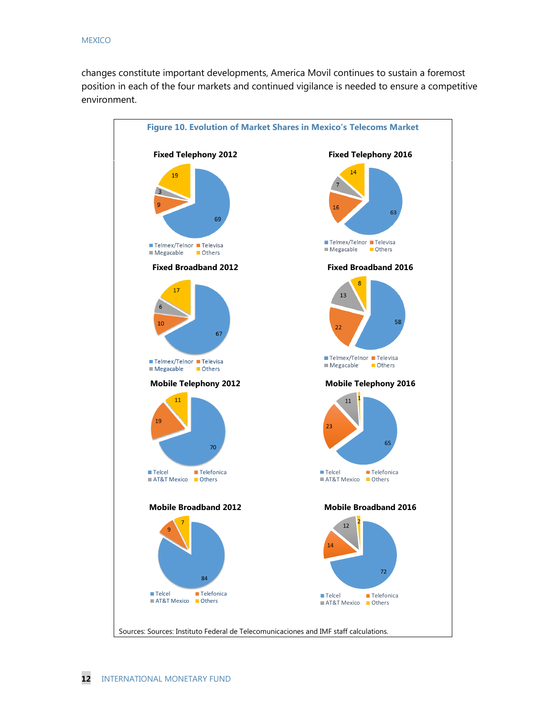changes constitute important developments, America Movil continues to sustain a foremost position in each of the four markets and continued vigilance is needed to ensure a competitive environment.

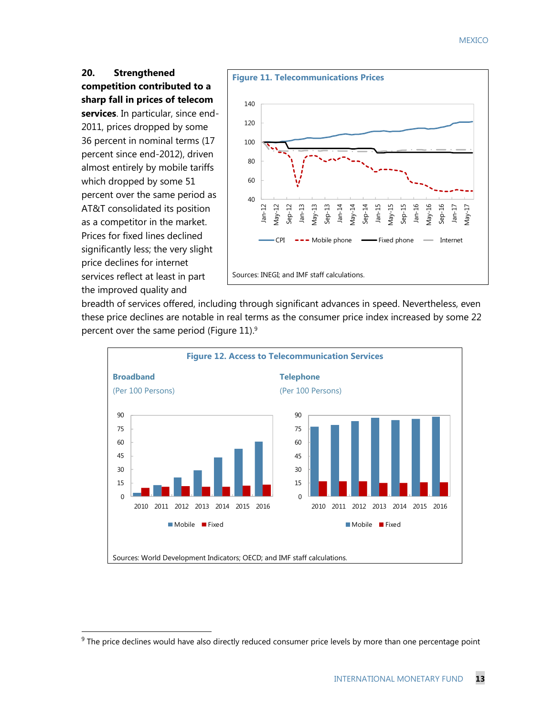#### **MEXICO**

### **20. Strengthened competition contributed to a sharp fall in prices of telecom**

**services**. In particular, since end-2011, prices dropped by some 36 percent in nominal terms (17 percent since end-2012), driven almost entirely by mobile tariffs which dropped by some 51 percent over the same period as AT&T consolidated its position as a competitor in the market. Prices for fixed lines declined significantly less; the very slight price declines for internet services reflect at least in part the improved quality and

 $\overline{a}$ 



breadth of services offered, including through significant advances in speed. Nevertheless, even these price declines are notable in real terms as the consumer price index increased by some 22 percent over the same period (Figure 11). 9



<sup>&</sup>lt;sup>9</sup> The price declines would have also directly reduced consumer price levels by more than one percentage point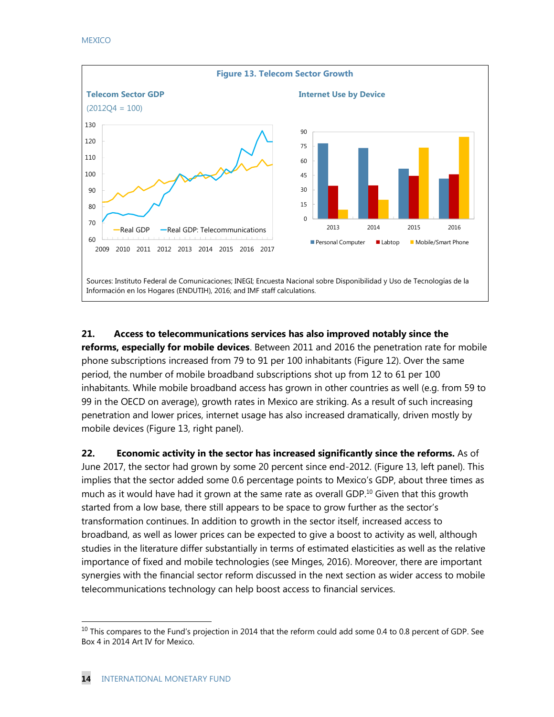

**21. Access to telecommunications services has also improved notably since the reforms, especially for mobile devices**. Between 2011 and 2016 the penetration rate for mobile phone subscriptions increased from 79 to 91 per 100 inhabitants (Figure 12). Over the same period, the number of mobile broadband subscriptions shot up from 12 to 61 per 100 inhabitants. While mobile broadband access has grown in other countries as well (e.g. from 59 to 99 in the OECD on average), growth rates in Mexico are striking. As a result of such increasing penetration and lower prices, internet usage has also increased dramatically, driven mostly by mobile devices (Figure 13, right panel).

**22. Economic activity in the sector has increased significantly since the reforms.** As of June 2017, the sector had grown by some 20 percent since end-2012. (Figure 13, left panel). This implies that the sector added some 0.6 percentage points to Mexico's GDP, about three times as much as it would have had it grown at the same rate as overall GDP. <sup>10</sup> Given that this growth started from a low base, there still appears to be space to grow further as the sector's transformation continues. In addition to growth in the sector itself, increased access to broadband, as well as lower prices can be expected to give a boost to activity as well, although studies in the literature differ substantially in terms of estimated elasticities as well as the relative importance of fixed and mobile technologies (see Minges, 2016). Moreover, there are important synergies with the financial sector reform discussed in the next section as wider access to mobile telecommunications technology can help boost access to financial services.

 $\overline{a}$ 

 $10$  This compares to the Fund's projection in 2014 that the reform could add some 0.4 to 0.8 percent of GDP. See Box 4 in 2014 Art IV for Mexico.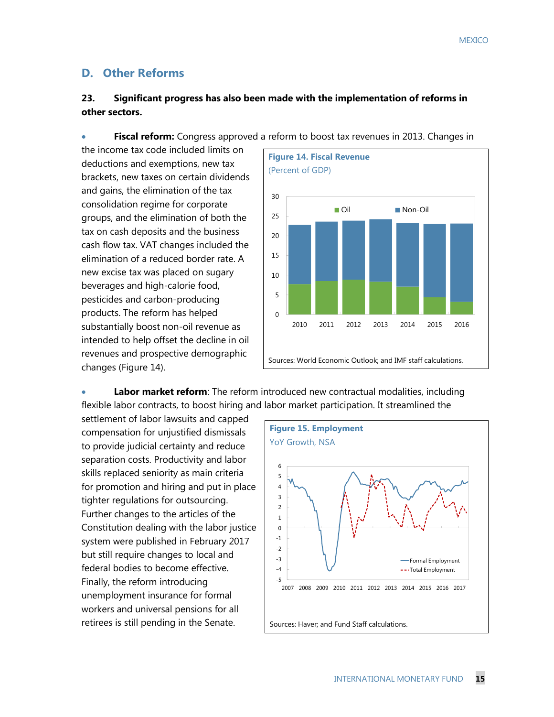### **D. Other Reforms**

### **23. Significant progress has also been made with the implementation of reforms in other sectors.**

the income tax code included limits on deductions and exemptions, new tax brackets, new taxes on certain dividends and gains, the elimination of the tax consolidation regime for corporate groups, and the elimination of both the tax on cash deposits and the business cash flow tax. VAT changes included the elimination of a reduced border rate. A new excise tax was placed on sugary beverages and high-calorie food, pesticides and carbon-producing products. The reform has helped substantially boost non-oil revenue as intended to help offset the decline in oil revenues and prospective demographic changes (Figure 14).



• **Labor market reform**: The reform introduced new contractual modalities, including

flexible labor contracts, to boost hiring and labor market participation. It streamlined the settlement of labor lawsuits and capped compensation for unjustified dismissals to provide judicial certainty and reduce separation costs. Productivity and labor skills replaced seniority as main criteria for promotion and hiring and put in place tighter regulations for outsourcing. Further changes to the articles of the Constitution dealing with the labor justice system were published in February 2017 but still require changes to local and federal bodies to become effective. Finally, the reform introducing unemployment insurance for formal workers and universal pensions for all retirees is still pending in the Senate.



### **Fiscal reform:** Congress approved a reform to boost tax revenues in 2013. Changes in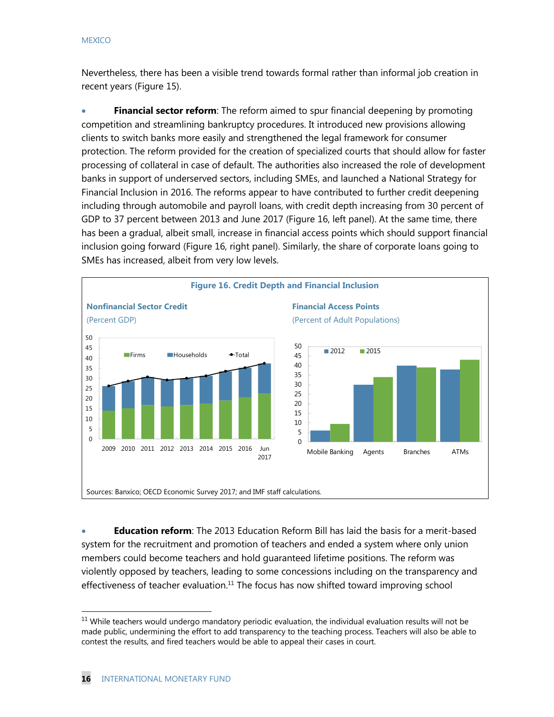Nevertheless, there has been a visible trend towards formal rather than informal job creation in recent years (Figure 15).

• **Financial sector reform**: The reform aimed to spur financial deepening by promoting competition and streamlining bankruptcy procedures. It introduced new provisions allowing clients to switch banks more easily and strengthened the legal framework for consumer protection. The reform provided for the creation of specialized courts that should allow for faster processing of collateral in case of default. The authorities also increased the role of development banks in support of underserved sectors, including SMEs, and launched a National Strategy for Financial Inclusion in 2016. The reforms appear to have contributed to further credit deepening including through automobile and payroll loans, with credit depth increasing from 30 percent of GDP to 37 percent between 2013 and June 2017 (Figure 16, left panel). At the same time, there has been a gradual, albeit small, increase in financial access points which should support financial inclusion going forward (Figure 16, right panel). Similarly, the share of corporate loans going to SMEs has increased, albeit from very low levels.



• **Education reform**: The 2013 Education Reform Bill has laid the basis for a merit-based system for the recruitment and promotion of teachers and ended a system where only union members could become teachers and hold guaranteed lifetime positions. The reform was violently opposed by teachers, leading to some concessions including on the transparency and effectiveness of teacher evaluation.<sup>11</sup> The focus has now shifted toward improving school

 $\overline{\phantom{a}}$ 

 $11$  While teachers would undergo mandatory periodic evaluation, the individual evaluation results will not be made public, undermining the effort to add transparency to the teaching process. Teachers will also be able to contest the results, and fired teachers would be able to appeal their cases in court.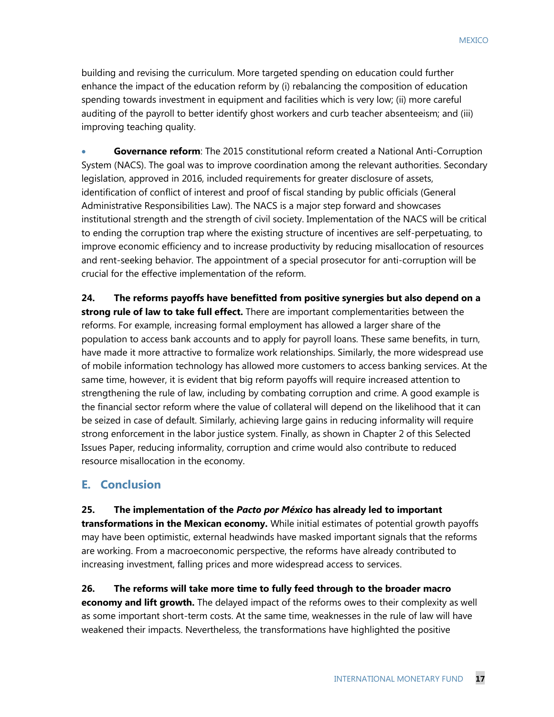building and revising the curriculum. More targeted spending on education could further enhance the impact of the education reform by (i) rebalancing the composition of education spending towards investment in equipment and facilities which is very low; (ii) more careful auditing of the payroll to better identify ghost workers and curb teacher absenteeism; and (iii) improving teaching quality.

• **Governance reform**: The 2015 constitutional reform created a National Anti-Corruption System (NACS). The goal was to improve coordination among the relevant authorities. Secondary legislation, approved in 2016, included requirements for greater disclosure of assets, identification of conflict of interest and proof of fiscal standing by public officials (General Administrative Responsibilities Law). The NACS is a major step forward and showcases institutional strength and the strength of civil society. Implementation of the NACS will be critical to ending the corruption trap where the existing structure of incentives are self-perpetuating, to improve economic efficiency and to increase productivity by reducing misallocation of resources and rent-seeking behavior. The appointment of a special prosecutor for anti-corruption will be crucial for the effective implementation of the reform.

**24. The reforms payoffs have benefitted from positive synergies but also depend on a strong rule of law to take full effect.** There are important complementarities between the reforms. For example, increasing formal employment has allowed a larger share of the population to access bank accounts and to apply for payroll loans. These same benefits, in turn, have made it more attractive to formalize work relationships. Similarly, the more widespread use of mobile information technology has allowed more customers to access banking services. At the same time, however, it is evident that big reform payoffs will require increased attention to strengthening the rule of law, including by combating corruption and crime. A good example is the financial sector reform where the value of collateral will depend on the likelihood that it can be seized in case of default. Similarly, achieving large gains in reducing informality will require strong enforcement in the labor justice system. Finally, as shown in Chapter 2 of this Selected Issues Paper, reducing informality, corruption and crime would also contribute to reduced resource misallocation in the economy.

### **E. Conclusion**

**25. The implementation of the** *Pacto por México* **has already led to important transformations in the Mexican economy.** While initial estimates of potential growth payoffs may have been optimistic, external headwinds have masked important signals that the reforms are working. From a macroeconomic perspective, the reforms have already contributed to increasing investment, falling prices and more widespread access to services.

**26. The reforms will take more time to fully feed through to the broader macro economy and lift growth.** The delayed impact of the reforms owes to their complexity as well as some important short-term costs. At the same time, weaknesses in the rule of law will have weakened their impacts. Nevertheless, the transformations have highlighted the positive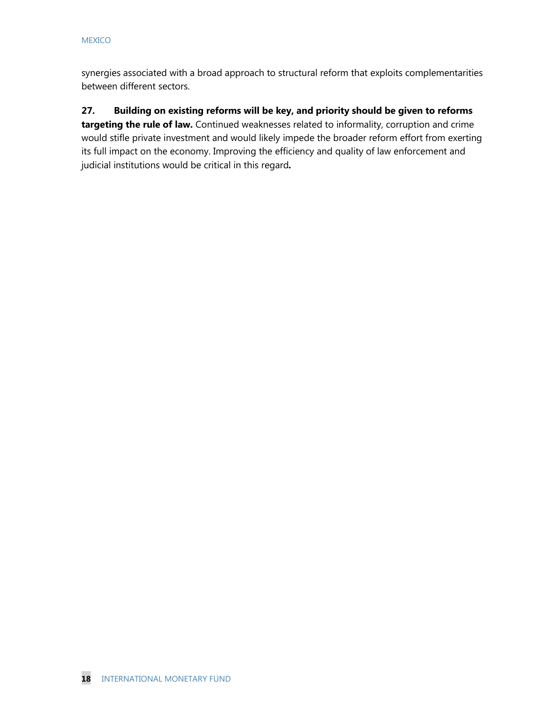synergies associated with a broad approach to structural reform that exploits complementarities between different sectors.

### **27. Building on existing reforms will be key, and priority should be given to reforms targeting the rule of law.** Continued weaknesses related to informality, corruption and crime would stifle private investment and would likely impede the broader reform effort from exerting its full impact on the economy. Improving the efficiency and quality of law enforcement and

judicial institutions would be critical in this regard*.*

**18** INTERNATIONAL MONETARY FUND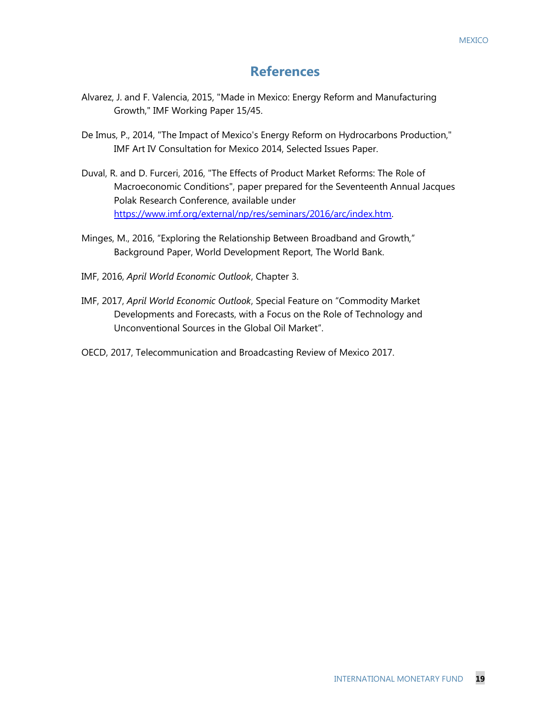### **References**

- Alvarez, J. and F. Valencia, 2015, "Made in Mexico: Energy Reform and Manufacturing Growth," IMF Working Paper 15/45.
- De Imus, P., 2014, "The Impact of Mexico's Energy Reform on Hydrocarbons Production," IMF Art IV Consultation for Mexico 2014, Selected Issues Paper.
- Duval, R. and D. Furceri, 2016, "The Effects of Product Market Reforms: The Role of Macroeconomic Conditions", paper prepared for the Seventeenth Annual Jacques Polak Research Conference, available under [https://www.imf.org/external/np/res/seminars/2016/arc/index.htm.](https://www.imf.org/external/np/res/seminars/2016/arc/index.htm)
- Minges, M., 2016, "Exploring the Relationship Between Broadband and Growth," Background Paper, World Development Report, The World Bank.
- IMF, 2016, *April World Economic Outlook*, Chapter 3.
- IMF, 2017, *April World Economic Outlook*, Special Feature on "Commodity Market Developments and Forecasts, with a Focus on the Role of Technology and Unconventional Sources in the Global Oil Market".
- OECD, 2017, Telecommunication and Broadcasting Review of Mexico 2017.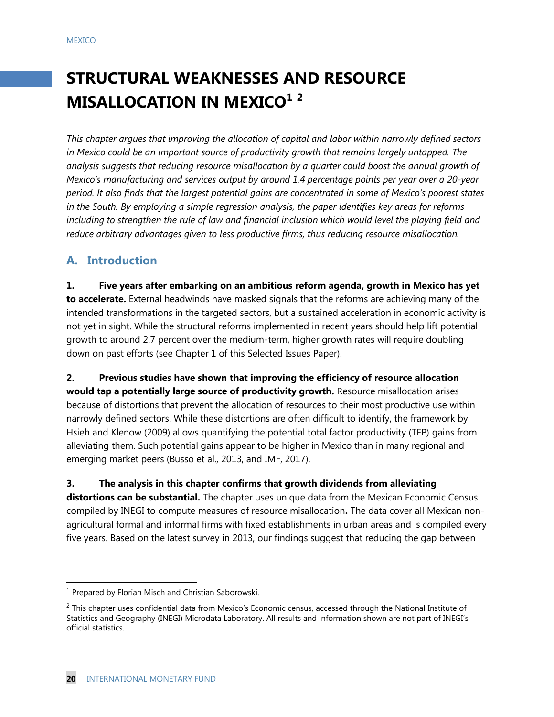# **STRUCTURAL WEAKNESSES AND RESOURCE MISALLOCATION IN MEXICO<sup>1</sup> <sup>2</sup>**

*This chapter argues that improving the allocation of capital and labor within narrowly defined sectors in Mexico could be an important source of productivity growth that remains largely untapped. The analysis suggests that reducing resource misallocation by a quarter could boost the annual growth of Mexico's manufacturing and services output by around 1.4 percentage points per year over a 20-year period. It also finds that the largest potential gains are concentrated in some of Mexico's poorest states in the South. By employing a simple regression analysis, the paper identifies key areas for reforms including to strengthen the rule of law and financial inclusion which would level the playing field and reduce arbitrary advantages given to less productive firms, thus reducing resource misallocation.*

### **A. Introduction**

**1. Five years after embarking on an ambitious reform agenda, growth in Mexico has yet to accelerate.** External headwinds have masked signals that the reforms are achieving many of the intended transformations in the targeted sectors, but a sustained acceleration in economic activity is not yet in sight. While the structural reforms implemented in recent years should help lift potential growth to around 2.7 percent over the medium-term, higher growth rates will require doubling down on past efforts (see Chapter 1 of this Selected Issues Paper).

**2. Previous studies have shown that improving the efficiency of resource allocation would tap a potentially large source of productivity growth.** Resource misallocation arises because of distortions that prevent the allocation of resources to their most productive use within narrowly defined sectors. While these distortions are often difficult to identify, the framework by Hsieh and Klenow (2009) allows quantifying the potential total factor productivity (TFP) gains from alleviating them. Such potential gains appear to be higher in Mexico than in many regional and emerging market peers (Busso et al., 2013, and IMF, 2017).

### **3. The analysis in this chapter confirms that growth dividends from alleviating**

**distortions can be substantial.** The chapter uses unique data from the Mexican Economic Census compiled by INEGI to compute measures of resource misallocation**.** The data cover all Mexican nonagricultural formal and informal firms with fixed establishments in urban areas and is compiled every five years. Based on the latest survey in 2013, our findings suggest that reducing the gap between

 $\overline{a}$ 

<sup>&</sup>lt;sup>1</sup> Prepared by Florian Misch and Christian Saborowski.

 $2$  This chapter uses confidential data from Mexico's Economic census, accessed through the National Institute of Statistics and Geography (INEGI) Microdata Laboratory. All results and information shown are not part of INEGI's official statistics.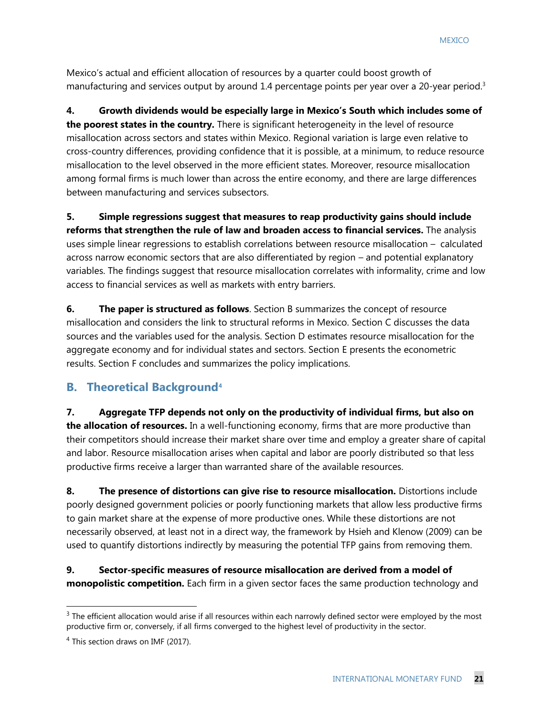Mexico's actual and efficient allocation of resources by a quarter could boost growth of manufacturing and services output by around 1.4 percentage points per year over a 20-year period.<sup>3</sup>

**4. Growth dividends would be especially large in Mexico's South which includes some of the poorest states in the country.** There is significant heterogeneity in the level of resource misallocation across sectors and states within Mexico. Regional variation is large even relative to cross-country differences, providing confidence that it is possible, at a minimum, to reduce resource misallocation to the level observed in the more efficient states. Moreover, resource misallocation among formal firms is much lower than across the entire economy, and there are large differences between manufacturing and services subsectors.

**5. Simple regressions suggest that measures to reap productivity gains should include reforms that strengthen the rule of law and broaden access to financial services.** The analysis uses simple linear regressions to establish correlations between resource misallocation – calculated across narrow economic sectors that are also differentiated by region – and potential explanatory variables. The findings suggest that resource misallocation correlates with informality, crime and low access to financial services as well as markets with entry barriers.

**6.** The paper is structured as follows. Section B summarizes the concept of resource misallocation and considers the link to structural reforms in Mexico. Section C discusses the data sources and the variables used for the analysis. Section D estimates resource misallocation for the aggregate economy and for individual states and sectors. Section E presents the econometric results. Section F concludes and summarizes the policy implications.

### **B. Theoretical Background<sup>4</sup>**

**7. Aggregate TFP depends not only on the productivity of individual firms, but also on the allocation of resources.** In a well-functioning economy, firms that are more productive than their competitors should increase their market share over time and employ a greater share of capital and labor. Resource misallocation arises when capital and labor are poorly distributed so that less productive firms receive a larger than warranted share of the available resources.

**8. The presence of distortions can give rise to resource misallocation.** Distortions include poorly designed government policies or poorly functioning markets that allow less productive firms to gain market share at the expense of more productive ones. While these distortions are not necessarily observed, at least not in a direct way, the framework by Hsieh and Klenow (2009) can be used to quantify distortions indirectly by measuring the potential TFP gains from removing them.

**9. Sector-specific measures of resource misallocation are derived from a model of monopolistic competition.** Each firm in a given sector faces the same production technology and

 $\overline{a}$ 

<sup>&</sup>lt;sup>3</sup> The efficient allocation would arise if all resources within each narrowly defined sector were employed by the most productive firm or, conversely, if all firms converged to the highest level of productivity in the sector.

 $4$  This section draws on IMF (2017).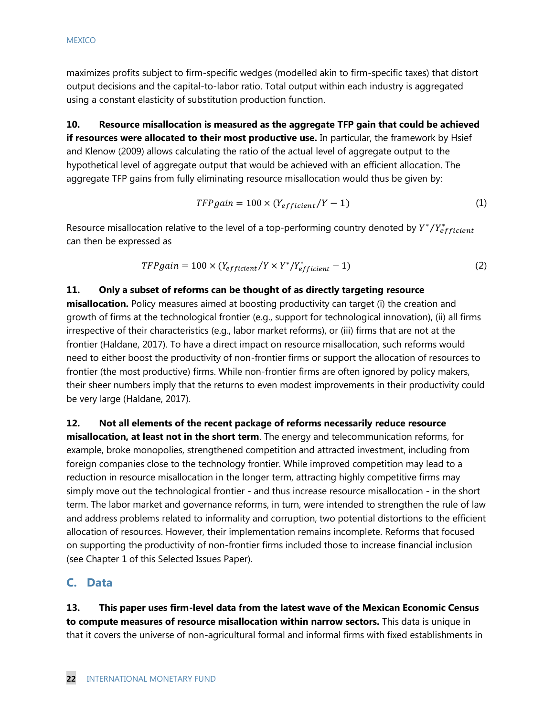maximizes profits subject to firm-specific wedges (modelled akin to firm-specific taxes) that distort output decisions and the capital-to-labor ratio. Total output within each industry is aggregated using a constant elasticity of substitution production function.

**10. Resource misallocation is measured as the aggregate TFP gain that could be achieved if resources were allocated to their most productive use.** In particular, the framework by Hsief and Klenow (2009) allows calculating the ratio of the actual level of aggregate output to the hypothetical level of aggregate output that would be achieved with an efficient allocation. The aggregate TFP gains from fully eliminating resource misallocation would thus be given by:

$$
TFP gain = 100 \times (Y_{efficient}/Y - 1)
$$
 (1)

Resource misallocation relative to the level of a top-performing country denoted by  $Y^*/Y^*_{efficient}$ can then be expressed as

$$
TFP gain = 100 \times (Y_{efficient}/Y \times Y^*)Y_{efficient}^* - 1)
$$
\n(2)

### **11. Only a subset of reforms can be thought of as directly targeting resource**

**misallocation.** Policy measures aimed at boosting productivity can target (i) the creation and growth of firms at the technological frontier (e.g., support for technological innovation), (ii) all firms irrespective of their characteristics (e.g., labor market reforms), or (iii) firms that are not at the frontier (Haldane, 2017). To have a direct impact on resource misallocation, such reforms would need to either boost the productivity of non-frontier firms or support the allocation of resources to frontier (the most productive) firms. While non-frontier firms are often ignored by policy makers, their sheer numbers imply that the returns to even modest improvements in their productivity could be very large (Haldane, 2017).

### **12. Not all elements of the recent package of reforms necessarily reduce resource**

**misallocation, at least not in the short term**. The energy and telecommunication reforms, for example, broke monopolies, strengthened competition and attracted investment, including from foreign companies close to the technology frontier. While improved competition may lead to a reduction in resource misallocation in the longer term, attracting highly competitive firms may simply move out the technological frontier - and thus increase resource misallocation - in the short term. The labor market and governance reforms, in turn, were intended to strengthen the rule of law and address problems related to informality and corruption, two potential distortions to the efficient allocation of resources. However, their implementation remains incomplete. Reforms that focused on supporting the productivity of non-frontier firms included those to increase financial inclusion (see Chapter 1 of this Selected Issues Paper).

### **C. Data**

**13. This paper uses firm-level data from the latest wave of the Mexican Economic Census to compute measures of resource misallocation within narrow sectors.** This data is unique in that it covers the universe of non-agricultural formal and informal firms with fixed establishments in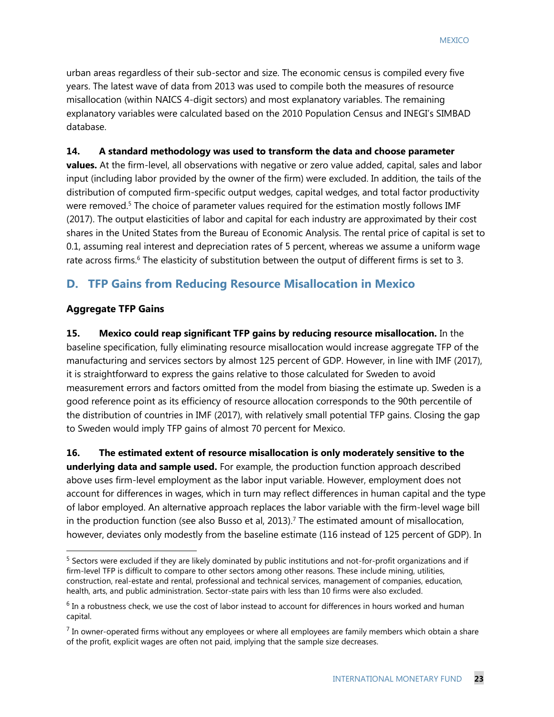urban areas regardless of their sub-sector and size. The economic census is compiled every five years. The latest wave of data from 2013 was used to compile both the measures of resource misallocation (within NAICS 4-digit sectors) and most explanatory variables. The remaining explanatory variables were calculated based on the 2010 Population Census and INEGI's SIMBAD database.

### **14. A standard methodology was used to transform the data and choose parameter**

**values.** At the firm-level, all observations with negative or zero value added, capital, sales and labor input (including labor provided by the owner of the firm) were excluded. In addition, the tails of the distribution of computed firm-specific output wedges, capital wedges, and total factor productivity were removed.<sup>5</sup> The choice of parameter values required for the estimation mostly follows IMF (2017). The output elasticities of labor and capital for each industry are approximated by their cost shares in the United States from the Bureau of Economic Analysis. The rental price of capital is set to 0.1, assuming real interest and depreciation rates of 5 percent, whereas we assume a uniform wage rate across firms.<sup>6</sup> The elasticity of substitution between the output of different firms is set to 3.

### **D. TFP Gains from Reducing Resource Misallocation in Mexico**

### **Aggregate TFP Gains**

 $\overline{a}$ 

**15. Mexico could reap significant TFP gains by reducing resource misallocation.** In the baseline specification, fully eliminating resource misallocation would increase aggregate TFP of the manufacturing and services sectors by almost 125 percent of GDP. However, in line with IMF (2017), it is straightforward to express the gains relative to those calculated for Sweden to avoid measurement errors and factors omitted from the model from biasing the estimate up. Sweden is a good reference point as its efficiency of resource allocation corresponds to the 90th percentile of the distribution of countries in IMF (2017), with relatively small potential TFP gains. Closing the gap to Sweden would imply TFP gains of almost 70 percent for Mexico.

**16. The estimated extent of resource misallocation is only moderately sensitive to the underlying data and sample used.** For example, the production function approach described above uses firm-level employment as the labor input variable. However, employment does not account for differences in wages, which in turn may reflect differences in human capital and the type of labor employed. An alternative approach replaces the labor variable with the firm-level wage bill in the production function (see also Busso et al, 2013).<sup>7</sup> The estimated amount of misallocation, however, deviates only modestly from the baseline estimate (116 instead of 125 percent of GDP). In

<sup>&</sup>lt;sup>5</sup> Sectors were excluded if they are likely dominated by public institutions and not-for-profit organizations and if firm-level TFP is difficult to compare to other sectors among other reasons. These include mining, utilities, construction, real-estate and rental, professional and technical services, management of companies, education, health, arts, and public administration. Sector-state pairs with less than 10 firms were also excluded.

<sup>&</sup>lt;sup>6</sup> In a robustness check, we use the cost of labor instead to account for differences in hours worked and human capital.

 $<sup>7</sup>$  In owner-operated firms without any employees or where all employees are family members which obtain a share</sup> of the profit, explicit wages are often not paid, implying that the sample size decreases.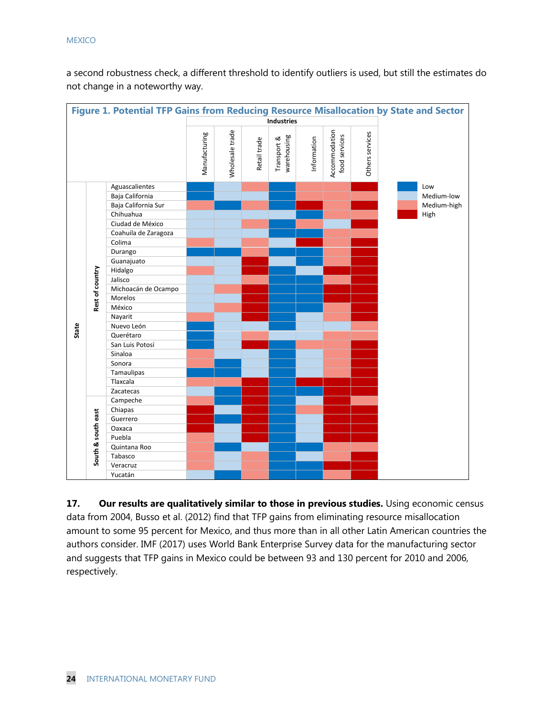a second robustness check, a different threshold to identify outliers is used, but still the estimates do not change in a noteworthy way.

|                   |                    | Figure 1. Potential TFP Gains from Reducing Resource Misallocation by State and Sector |               |                 |              |                            |             |                                |                 |             |
|-------------------|--------------------|----------------------------------------------------------------------------------------|---------------|-----------------|--------------|----------------------------|-------------|--------------------------------|-----------------|-------------|
| <b>Industries</b> |                    |                                                                                        |               |                 |              |                            |             |                                |                 |             |
|                   |                    |                                                                                        | Manufacturing | Wholesale trade | Retail trade | warehousing<br>Transport & | Information | Accommodation<br>food services | Others services |             |
|                   |                    | Aguascalientes                                                                         |               |                 |              |                            |             |                                |                 | Low         |
|                   |                    | Baja California                                                                        |               |                 |              |                            |             |                                |                 | Medium-low  |
|                   |                    | Baja California Sur                                                                    |               |                 |              |                            |             |                                |                 | Medium-high |
|                   |                    | Chihuahua                                                                              |               |                 |              |                            |             |                                |                 | High        |
|                   |                    | Ciudad de México                                                                       |               |                 |              |                            |             |                                |                 |             |
|                   |                    | Coahuila de Zaragoza                                                                   |               |                 |              |                            |             |                                |                 |             |
|                   |                    | Colima                                                                                 |               |                 |              |                            |             |                                |                 |             |
|                   |                    | Durango                                                                                |               |                 |              |                            |             |                                |                 |             |
|                   |                    | Guanajuato                                                                             |               |                 |              |                            |             |                                |                 |             |
|                   |                    | Hidalgo                                                                                |               |                 |              |                            |             |                                |                 |             |
|                   |                    | Jalisco                                                                                |               |                 |              |                            |             |                                |                 |             |
|                   | Rest of country    | Michoacán de Ocampo                                                                    |               |                 |              |                            |             |                                |                 |             |
|                   |                    | Morelos                                                                                |               |                 |              |                            |             |                                |                 |             |
|                   |                    | México                                                                                 |               |                 |              |                            |             |                                |                 |             |
|                   |                    | Nayarit                                                                                |               |                 |              |                            |             |                                |                 |             |
| State             |                    | Nuevo León                                                                             |               |                 |              |                            |             |                                |                 |             |
|                   |                    | Querétaro                                                                              |               |                 |              |                            |             |                                |                 |             |
|                   |                    | San Luis Potosí                                                                        |               |                 |              |                            |             |                                |                 |             |
|                   |                    | Sinaloa                                                                                |               |                 |              |                            |             |                                |                 |             |
|                   |                    | Sonora                                                                                 |               |                 |              |                            |             |                                |                 |             |
|                   |                    | Tamaulipas                                                                             |               |                 |              |                            |             |                                |                 |             |
|                   |                    | Tlaxcala                                                                               |               |                 |              |                            |             |                                |                 |             |
|                   |                    | Zacatecas                                                                              |               |                 |              |                            |             |                                |                 |             |
|                   |                    | Campeche                                                                               |               |                 |              |                            |             |                                |                 |             |
|                   |                    | Chiapas                                                                                |               |                 |              |                            |             |                                |                 |             |
|                   |                    | Guerrero                                                                               |               |                 |              |                            |             |                                |                 |             |
|                   |                    | Oaxaca                                                                                 |               |                 |              |                            |             |                                |                 |             |
|                   |                    | Puebla                                                                                 |               |                 |              |                            |             |                                |                 |             |
|                   | South & south east | Quintana Roo                                                                           |               |                 |              |                            |             |                                |                 |             |
|                   |                    | Tabasco                                                                                |               |                 |              |                            |             |                                |                 |             |
|                   |                    | Veracruz                                                                               |               |                 |              |                            |             |                                |                 |             |
|                   |                    | Yucatán                                                                                |               |                 |              |                            |             |                                |                 |             |

**17. Our results are qualitatively similar to those in previous studies.** Using economic census data from 2004, Busso et al. (2012) find that TFP gains from eliminating resource misallocation amount to some 95 percent for Mexico, and thus more than in all other Latin American countries the authors consider. IMF (2017) uses World Bank Enterprise Survey data for the manufacturing sector and suggests that TFP gains in Mexico could be between 93 and 130 percent for 2010 and 2006, respectively.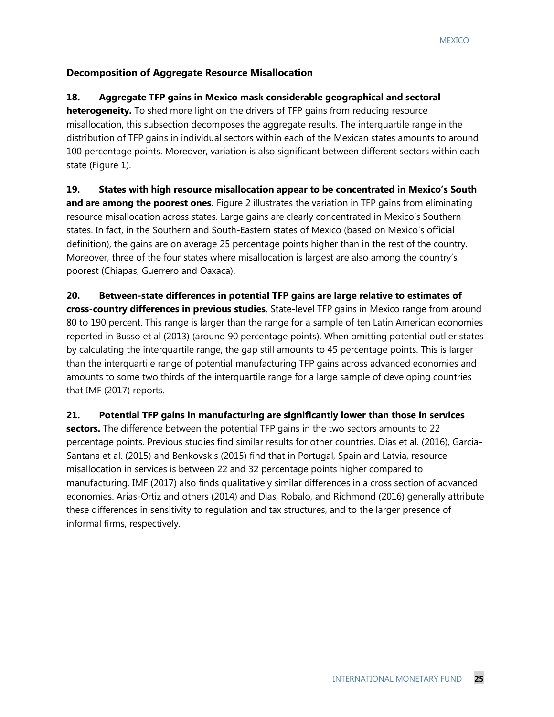### **Decomposition of Aggregate Resource Misallocation**

### **18. Aggregate TFP gains in Mexico mask considerable geographical and sectoral**

**heterogeneity.** To shed more light on the drivers of TFP gains from reducing resource misallocation, this subsection decomposes the aggregate results. The interquartile range in the distribution of TFP gains in individual sectors within each of the Mexican states amounts to around 100 percentage points. Moreover, variation is also significant between different sectors within each state (Figure 1).

### **19. States with high resource misallocation appear to be concentrated in Mexico's South**

**and are among the poorest ones.** Figure 2 illustrates the variation in TFP gains from eliminating resource misallocation across states. Large gains are clearly concentrated in Mexico's Southern states. In fact, in the Southern and South-Eastern states of Mexico (based on Mexico's official definition), the gains are on average 25 percentage points higher than in the rest of the country. Moreover, three of the four states where misallocation is largest are also among the country's poorest (Chiapas, Guerrero and Oaxaca).

**20. Between-state differences in potential TFP gains are large relative to estimates of cross-country differences in previous studies**. State-level TFP gains in Mexico range from around 80 to 190 percent. This range is larger than the range for a sample of ten Latin American economies reported in Busso et al (2013) (around 90 percentage points). When omitting potential outlier states by calculating the interquartile range, the gap still amounts to 45 percentage points. This is larger than the interquartile range of potential manufacturing TFP gains across advanced economies and amounts to some two thirds of the interquartile range for a large sample of developing countries that IMF (2017) reports.

### **21. Potential TFP gains in manufacturing are significantly lower than those in services**

**sectors.** The difference between the potential TFP gains in the two sectors amounts to 22 percentage points. Previous studies find similar results for other countries. Dias et al. (2016), Garcia-Santana et al. (2015) and Benkovskis (2015) find that in Portugal, Spain and Latvia, resource misallocation in services is between 22 and 32 percentage points higher compared to manufacturing. IMF (2017) also finds qualitatively similar differences in a cross section of advanced economies. Arias-Ortiz and others (2014) and Dias, Robalo, and Richmond (2016) generally attribute these differences in sensitivity to regulation and tax structures, and to the larger presence of informal firms, respectively.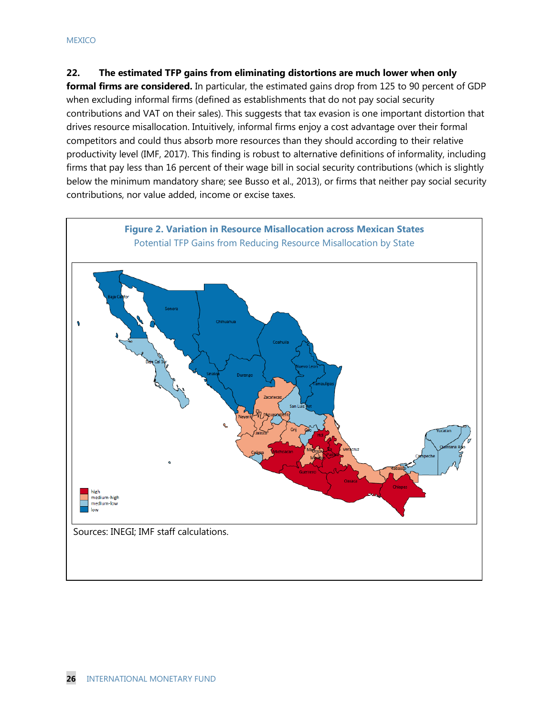### **22. The estimated TFP gains from eliminating distortions are much lower when only**

**formal firms are considered.** In particular, the estimated gains drop from 125 to 90 percent of GDP when excluding informal firms (defined as establishments that do not pay social security contributions and VAT on their sales). This suggests that tax evasion is one important distortion that drives resource misallocation. Intuitively, informal firms enjoy a cost advantage over their formal competitors and could thus absorb more resources than they should according to their relative productivity level (IMF, 2017). This finding is robust to alternative definitions of informality, including firms that pay less than 16 percent of their wage bill in social security contributions (which is slightly below the minimum mandatory share; see Busso et al., 2013), or firms that neither pay social security contributions, nor value added, income or excise taxes.

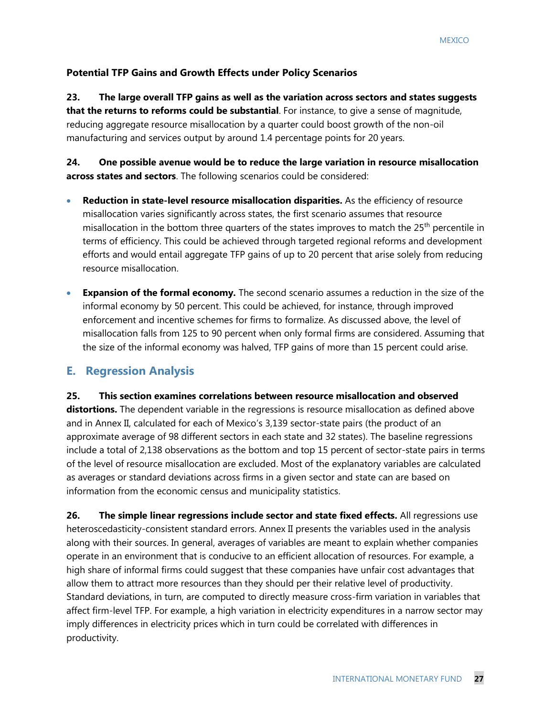### **Potential TFP Gains and Growth Effects under Policy Scenarios**

**23. The large overall TFP gains as well as the variation across sectors and states suggests that the returns to reforms could be substantial**. For instance, to give a sense of magnitude, reducing aggregate resource misallocation by a quarter could boost growth of the non-oil manufacturing and services output by around 1.4 percentage points for 20 years.

**24. One possible avenue would be to reduce the large variation in resource misallocation across states and sectors**. The following scenarios could be considered:

- **Reduction in state-level resource misallocation disparities.** As the efficiency of resource misallocation varies significantly across states, the first scenario assumes that resource misallocation in the bottom three quarters of the states improves to match the  $25<sup>th</sup>$  percentile in terms of efficiency. This could be achieved through targeted regional reforms and development efforts and would entail aggregate TFP gains of up to 20 percent that arise solely from reducing resource misallocation.
- **Expansion of the formal economy.** The second scenario assumes a reduction in the size of the informal economy by 50 percent. This could be achieved, for instance, through improved enforcement and incentive schemes for firms to formalize. As discussed above, the level of misallocation falls from 125 to 90 percent when only formal firms are considered. Assuming that the size of the informal economy was halved, TFP gains of more than 15 percent could arise.

### **E. Regression Analysis**

**25. This section examines correlations between resource misallocation and observed** 

**distortions.** The dependent variable in the regressions is resource misallocation as defined above and in Annex II, calculated for each of Mexico's 3,139 sector-state pairs (the product of an approximate average of 98 different sectors in each state and 32 states). The baseline regressions include a total of 2,138 observations as the bottom and top 15 percent of sector-state pairs in terms of the level of resource misallocation are excluded. Most of the explanatory variables are calculated as averages or standard deviations across firms in a given sector and state can are based on information from the economic census and municipality statistics.

**26. The simple linear regressions include sector and state fixed effects.** All regressions use heteroscedasticity-consistent standard errors. Annex II presents the variables used in the analysis along with their sources. In general, averages of variables are meant to explain whether companies operate in an environment that is conducive to an efficient allocation of resources. For example, a high share of informal firms could suggest that these companies have unfair cost advantages that allow them to attract more resources than they should per their relative level of productivity. Standard deviations, in turn, are computed to directly measure cross-firm variation in variables that affect firm-level TFP. For example, a high variation in electricity expenditures in a narrow sector may imply differences in electricity prices which in turn could be correlated with differences in productivity.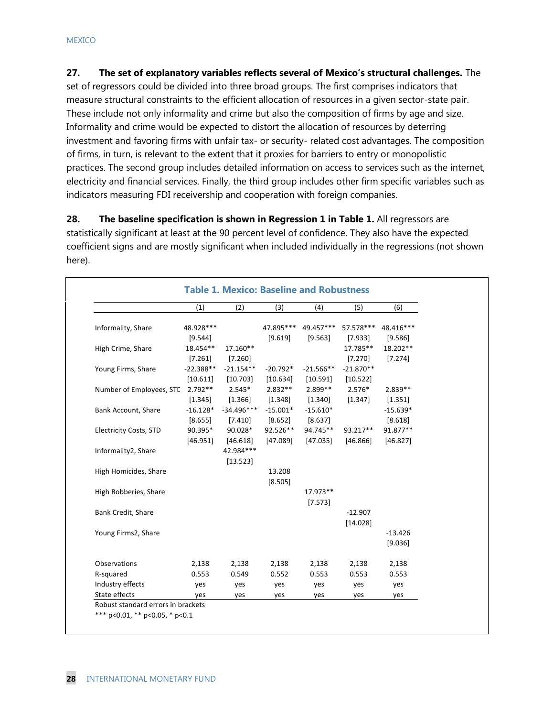**27. The set of explanatory variables reflects several of Mexico's structural challenges.** The set of regressors could be divided into three broad groups. The first comprises indicators that measure structural constraints to the efficient allocation of resources in a given sector-state pair. These include not only informality and crime but also the composition of firms by age and size. Informality and crime would be expected to distort the allocation of resources by deterring investment and favoring firms with unfair tax- or security- related cost advantages. The composition of firms, in turn, is relevant to the extent that it proxies for barriers to entry or monopolistic practices. The second group includes detailed information on access to services such as the internet, electricity and financial services. Finally, the third group includes other firm specific variables such as indicators measuring FDI receivership and cooperation with foreign companies.

**28. The baseline specification is shown in Regression 1 in Table 1.** All regressors are statistically significant at least at the 90 percent level of confidence. They also have the expected coefficient signs and are mostly significant when included individually in the regressions (not shown here).

|                               | (1)         | (2)          | (3)        | (4)         | (5)         | (6)        |
|-------------------------------|-------------|--------------|------------|-------------|-------------|------------|
| Informality, Share            | 48.928 ***  |              | 47.895***  | 49.457***   | 57.578***   | 48.416***  |
|                               | [9.544]     |              | [9.619]    | [9.563]     | [7.933]     | [9.586]    |
| High Crime, Share             | 18.454**    | 17.160**     |            |             | 17.785**    | 18.202**   |
|                               | [7.261]     | [7.260]      |            |             | [7.270]     | [7.274]    |
| Young Firms, Share            | $-22.388**$ | $-21.154**$  | $-20.792*$ | $-21.566**$ | $-21.870**$ |            |
|                               | [10.611]    | [10.703]     | [10.634]   | [10.591]    | [10.522]    |            |
| Number of Employees, STC      | $2.792**$   | $2.545*$     | $2.832**$  | $2.899**$   | $2.576*$    | $2.839**$  |
|                               | [1.345]     | [1.366]      | [1.348]    | [1.340]     | [1.347]     | [1.351]    |
| Bank Account, Share           | $-16.128*$  | $-34.496***$ | $-15.001*$ | $-15.610*$  |             | $-15.639*$ |
|                               | [8.655]     | [7.410]      | [8.652]    | [8.637]     |             | [8.618]    |
| <b>Electricity Costs, STD</b> | 90.395*     | 90.028*      | 92.526**   | 94.745**    | 93.217**    | 91.877**   |
|                               | [46.951]    | [46.618]     | [47.089]   | [47.035]    | [46.866]    | [46.827]   |
| Informality2, Share           |             | 42.984 ***   |            |             |             |            |
|                               |             | [13.523]     |            |             |             |            |
| High Homicides, Share         |             |              | 13.208     |             |             |            |
|                               |             |              | [8.505]    |             |             |            |
| High Robberies, Share         |             |              |            | 17.973**    |             |            |
|                               |             |              |            | [7.573]     |             |            |
| Bank Credit, Share            |             |              |            |             | $-12.907$   |            |
|                               |             |              |            |             | [14.028]    |            |
| Young Firms2, Share           |             |              |            |             |             | $-13.426$  |
|                               |             |              |            |             |             | [9.036]    |
| Observations                  | 2,138       | 2,138        | 2,138      | 2,138       | 2,138       | 2,138      |
| R-squared                     | 0.553       | 0.549        | 0.552      | 0.553       | 0.553       | 0.553      |
| Industry effects              | yes         | yes          | yes        | yes         | yes         | yes        |
| State effects                 | yes         | yes          | yes        | yes         | yes         | yes        |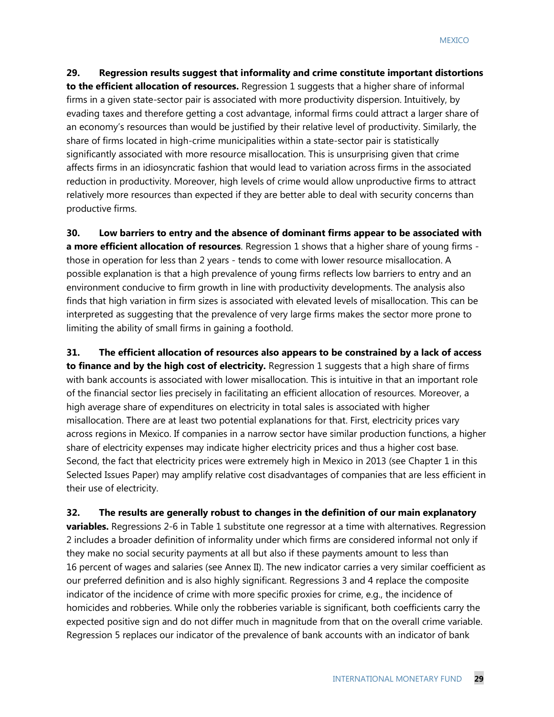**29. Regression results suggest that informality and crime constitute important distortions to the efficient allocation of resources.** Regression 1 suggests that a higher share of informal firms in a given state-sector pair is associated with more productivity dispersion. Intuitively, by evading taxes and therefore getting a cost advantage, informal firms could attract a larger share of an economy's resources than would be justified by their relative level of productivity. Similarly, the share of firms located in high-crime municipalities within a state-sector pair is statistically significantly associated with more resource misallocation. This is unsurprising given that crime affects firms in an idiosyncratic fashion that would lead to variation across firms in the associated reduction in productivity. Moreover, high levels of crime would allow unproductive firms to attract relatively more resources than expected if they are better able to deal with security concerns than productive firms.

**30. Low barriers to entry and the absence of dominant firms appear to be associated with a more efficient allocation of resources**. Regression 1 shows that a higher share of young firms those in operation for less than 2 years - tends to come with lower resource misallocation. A possible explanation is that a high prevalence of young firms reflects low barriers to entry and an environment conducive to firm growth in line with productivity developments. The analysis also finds that high variation in firm sizes is associated with elevated levels of misallocation. This can be interpreted as suggesting that the prevalence of very large firms makes the sector more prone to limiting the ability of small firms in gaining a foothold.

**31. The efficient allocation of resources also appears to be constrained by a lack of access to finance and by the high cost of electricity.** Regression 1 suggests that a high share of firms with bank accounts is associated with lower misallocation. This is intuitive in that an important role of the financial sector lies precisely in facilitating an efficient allocation of resources. Moreover, a high average share of expenditures on electricity in total sales is associated with higher misallocation. There are at least two potential explanations for that. First, electricity prices vary across regions in Mexico. If companies in a narrow sector have similar production functions, a higher share of electricity expenses may indicate higher electricity prices and thus a higher cost base. Second, the fact that electricity prices were extremely high in Mexico in 2013 (see Chapter 1 in this Selected Issues Paper) may amplify relative cost disadvantages of companies that are less efficient in their use of electricity.

**32. The results are generally robust to changes in the definition of our main explanatory variables.** Regressions 2-6 in Table 1 substitute one regressor at a time with alternatives. Regression 2 includes a broader definition of informality under which firms are considered informal not only if they make no social security payments at all but also if these payments amount to less than 16 percent of wages and salaries (see Annex II). The new indicator carries a very similar coefficient as our preferred definition and is also highly significant. Regressions 3 and 4 replace the composite indicator of the incidence of crime with more specific proxies for crime, e.g., the incidence of homicides and robberies. While only the robberies variable is significant, both coefficients carry the expected positive sign and do not differ much in magnitude from that on the overall crime variable. Regression 5 replaces our indicator of the prevalence of bank accounts with an indicator of bank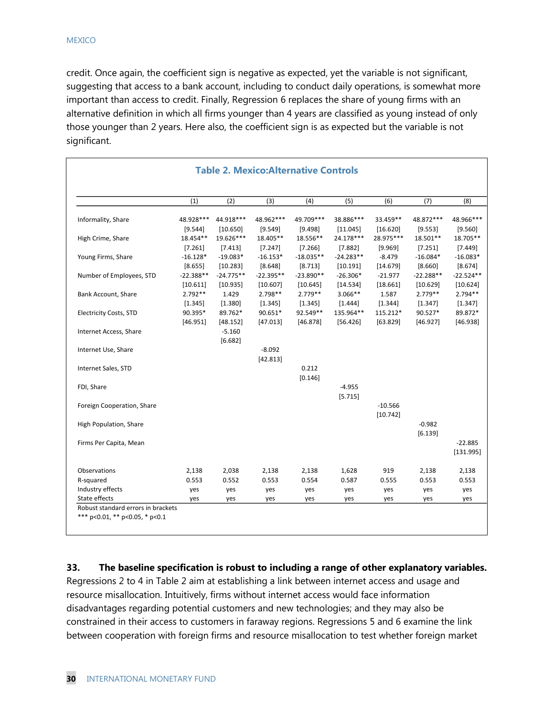credit. Once again, the coefficient sign is negative as expected, yet the variable is not significant, suggesting that access to a bank account, including to conduct daily operations, is somewhat more important than access to credit. Finally, Regression 6 replaces the share of young firms with an alternative definition in which all firms younger than 4 years are classified as young instead of only those younger than 2 years. Here also, the coefficient sign is as expected but the variable is not significant.

|                               | (1)         | (2)         | (3)         | (4)         | (5)         | (6)        | (7)         | (8)         |
|-------------------------------|-------------|-------------|-------------|-------------|-------------|------------|-------------|-------------|
|                               |             |             |             |             |             |            |             |             |
| Informality, Share            | 48.928 ***  | 44.918***   | 48.962 ***  | 49.709***   | 38.886***   | 33.459**   | 48.872 ***  | 48.966***   |
|                               | [9.544]     | [10.650]    | [9.549]     | [9.498]     | [11.045]    | [16.620]   | [9.553]     | [9.560]     |
| High Crime, Share             | 18.454**    | 19.626***   | 18.405**    | 18.556**    | 24.178***   | 28.975***  | 18.501**    | 18.705**    |
|                               | [7.261]     | [7.413]     | [7.247]     | [7.266]     | [7.882]     | [9.969]    | [7.251]     | [7.449]     |
| Young Firms, Share            | $-16.128*$  | $-19.083*$  | $-16.153*$  | $-18.035**$ | $-24.283**$ | $-8.479$   | $-16.084*$  | $-16.083*$  |
|                               | [8.655]     | [10.283]    | [8.648]     | [8.713]     | [10.191]    | [14.679]   | [8.660]     | [8.674]     |
| Number of Employees, STD      | $-22.388**$ | $-24.775**$ | $-22.395**$ | $-23.890**$ | $-26.306*$  | $-21.977$  | $-22.288**$ | $-22.524**$ |
|                               | [10.611]    | [10.935]    | [10.607]    | [10.645]    | [14.534]    | [18.661]   | [10.629]    | [10.624]    |
| Bank Account, Share           | $2.792**$   | 1.429       | $2.798**$   | $2.779**$   | 3.066**     | 1.587      | $2.779**$   | $2.794**$   |
|                               | [1.345]     | [1.380]     | [1.345]     | [1.345]     | [1.444]     | [1.344]    | [1.347]     | [1.347]     |
| <b>Electricity Costs, STD</b> | 90.395*     | 89.762*     | 90.651*     | 92.549**    | 135.964**   | 115.212*   | 90.527*     | 89.872*     |
|                               | [46.951]    | [48.152]    | [47.013]    | [46.878]    | [56.426]    | [63.829]   | [46.927]    | [46.938]    |
| Internet Access, Share        |             | $-5.160$    |             |             |             |            |             |             |
|                               |             | [6.682]     |             |             |             |            |             |             |
| Internet Use, Share           |             |             | $-8.092$    |             |             |            |             |             |
|                               |             |             | [42.813]    |             |             |            |             |             |
| Internet Sales, STD           |             |             |             | 0.212       |             |            |             |             |
|                               |             |             |             | [0.146]     |             |            |             |             |
| FDI, Share                    |             |             |             |             | $-4.955$    |            |             |             |
|                               |             |             |             |             | [5.715]     |            |             |             |
| Foreign Cooperation, Share    |             |             |             |             |             | $-10.566$  |             |             |
|                               |             |             |             |             |             | [10.742]   |             |             |
| High Population, Share        |             |             |             |             |             |            | $-0.982$    |             |
|                               |             |             |             |             |             |            | [6.139]     |             |
| Firms Per Capita, Mean        |             |             |             |             |             |            |             | $-22.885$   |
|                               |             |             |             |             |             |            |             | [131.995]   |
| Observations                  | 2,138       | 2,038       | 2,138       | 2,138       | 1,628       | 919        | 2,138       | 2,138       |
| R-squared                     | 0.553       | 0.552       | 0.553       | 0.554       | 0.587       | 0.555      | 0.553       | 0.553       |
| Industry effects              | yes         |             |             |             |             |            |             |             |
| State effects                 | yes         | yes<br>yes  | yes<br>yes  | yes<br>yes  | yes<br>yes  | yes<br>yes | yes<br>yes  | yes<br>yes  |

**33. The baseline specification is robust to including a range of other explanatory variables.** 

Regressions 2 to 4 in Table 2 aim at establishing a link between internet access and usage and resource misallocation. Intuitively, firms without internet access would face information disadvantages regarding potential customers and new technologies; and they may also be constrained in their access to customers in faraway regions. Regressions 5 and 6 examine the link between cooperation with foreign firms and resource misallocation to test whether foreign market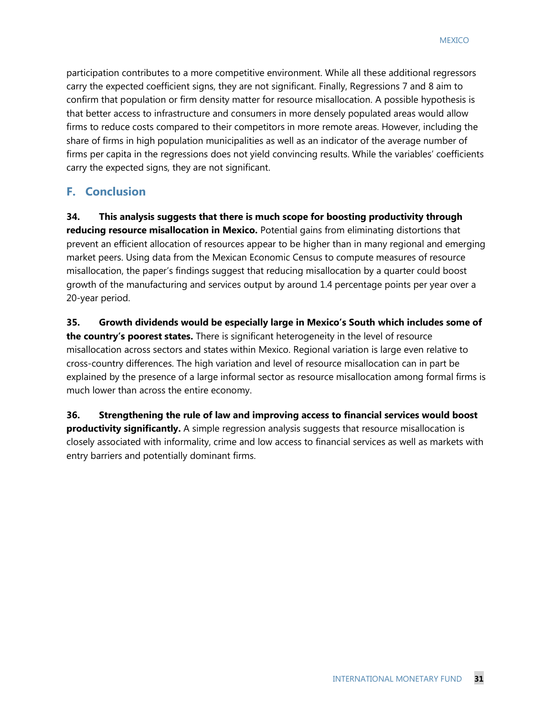participation contributes to a more competitive environment. While all these additional regressors carry the expected coefficient signs, they are not significant. Finally, Regressions 7 and 8 aim to confirm that population or firm density matter for resource misallocation. A possible hypothesis is that better access to infrastructure and consumers in more densely populated areas would allow firms to reduce costs compared to their competitors in more remote areas. However, including the share of firms in high population municipalities as well as an indicator of the average number of firms per capita in the regressions does not yield convincing results. While the variables' coefficients carry the expected signs, they are not significant.

### **F. Conclusion**

**34. This analysis suggests that there is much scope for boosting productivity through reducing resource misallocation in Mexico.** Potential gains from eliminating distortions that prevent an efficient allocation of resources appear to be higher than in many regional and emerging market peers. Using data from the Mexican Economic Census to compute measures of resource misallocation, the paper's findings suggest that reducing misallocation by a quarter could boost growth of the manufacturing and services output by around 1.4 percentage points per year over a 20-year period.

**35. Growth dividends would be especially large in Mexico's South which includes some of the country's poorest states.** There is significant heterogeneity in the level of resource misallocation across sectors and states within Mexico. Regional variation is large even relative to cross-country differences. The high variation and level of resource misallocation can in part be explained by the presence of a large informal sector as resource misallocation among formal firms is much lower than across the entire economy.

**36. Strengthening the rule of law and improving access to financial services would boost productivity significantly.** A simple regression analysis suggests that resource misallocation is closely associated with informality, crime and low access to financial services as well as markets with entry barriers and potentially dominant firms.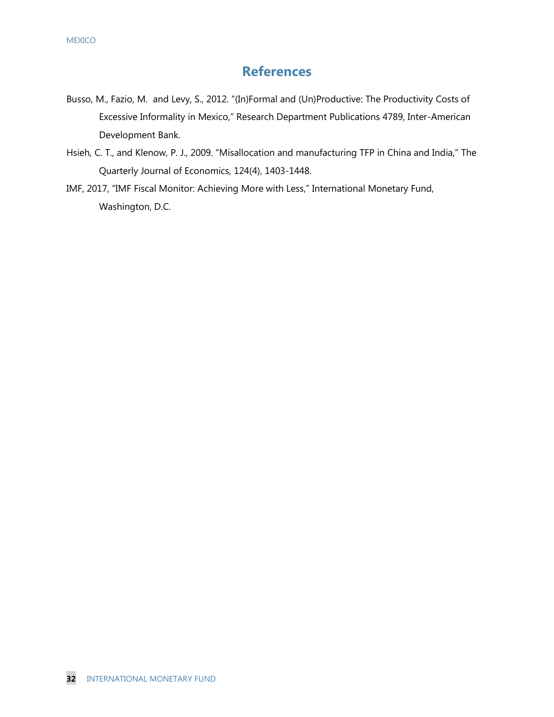### **References**

- Busso, M., Fazio, M. and Levy, S., 2012. "(In)Formal and (Un)Productive: The Productivity Costs of Excessive Informality in Mexico," Research Department Publications 4789, Inter-American Development Bank.
- Hsieh, C. T., and Klenow, P. J., 2009. "Misallocation and manufacturing TFP in China and India," The Quarterly Journal of Economics, 124(4), 1403-1448.
- IMF, 2017, "IMF Fiscal Monitor: Achieving More with Less," International Monetary Fund, Washington, D.C.